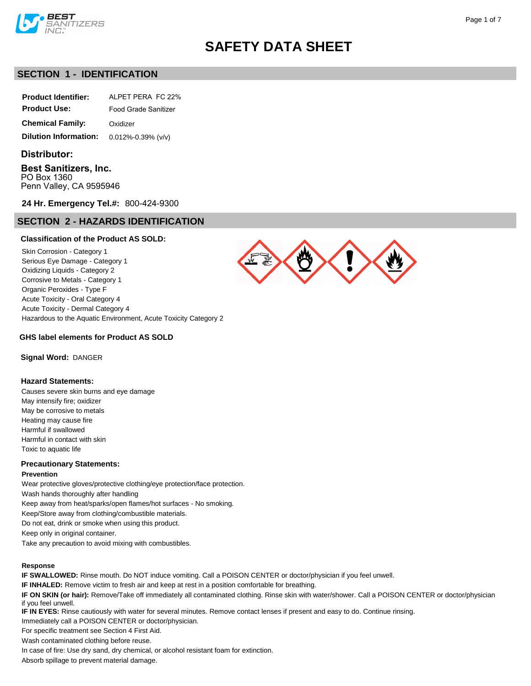

### **SECTION 1 - IDENTIFICATION**

| <b>Product Identifier:</b> | ALPET PERA FC 22%    |  |
|----------------------------|----------------------|--|
| <b>Product Use:</b>        | Food Grade Sanitizer |  |
| <b>Chemical Family:</b>    | Oxidizer             |  |

**Dilution Information:** 0.012%-0.39% (v/v)

### **Distributor:**

**Best Sanitizers, Inc.** PO Box 1360 Penn Valley, CA 9595946

**24 Hr. Emergency Tel.#:** 800-424-9300

### **SECTION 2 - HAZARDS IDENTIFICATION**

### **Classification of the Product AS SOLD:**

Skin Corrosion - Category 1 Serious Eye Damage - Category 1 Oxidizing Liquids - Category 2 Corrosive to Metals - Category 1 Organic Peroxides - Type F Acute Toxicity - Oral Category 4 Acute Toxicity - Dermal Category 4 Hazardous to the Aquatic Environment, Acute Toxicity Category 2



**GHS label elements for Product AS SOLD**

**Signal Word:** DANGER

### **Hazard Statements:**

Causes severe skin burns and eye damage May intensify fire; oxidizer May be corrosive to metals Heating may cause fire Harmful if swallowed Harmful in contact with skin Toxic to aquatic life

### **Precautionary Statements:**

#### **Prevention**

Wear protective gloves/protective clothing/eye protection/face protection.

Wash hands thoroughly after handling

Keep away from heat/sparks/open flames/hot surfaces - No smoking.

Keep/Store away from clothing/combustible materials.

Do not eat, drink or smoke when using this product.

Keep only in original container.

Take any precaution to avoid mixing with combustibles.

### **Response**

**IF SWALLOWED:** Rinse mouth. Do NOT induce vomiting. Call a POISON CENTER or doctor/physician if you feel unwell.

**IF INHALED:** Remove victim to fresh air and keep at rest in a position comfortable for breathing.

**IF ON SKIN (or hair):** Remove/Take off immediately all contaminated clothing. Rinse skin with water/shower. Call a POISON CENTER or doctor/physician if you feel unwell.

**IF IN EYES:** Rinse cautiously with water for several minutes. Remove contact lenses if present and easy to do. Continue rinsing.

Immediately call a POISON CENTER or doctor/physician.

For specific treatment see Section 4 First Aid.

Wash contaminated clothing before reuse.

In case of fire: Use dry sand, dry chemical, or alcohol resistant foam for extinction.

Absorb spillage to prevent material damage.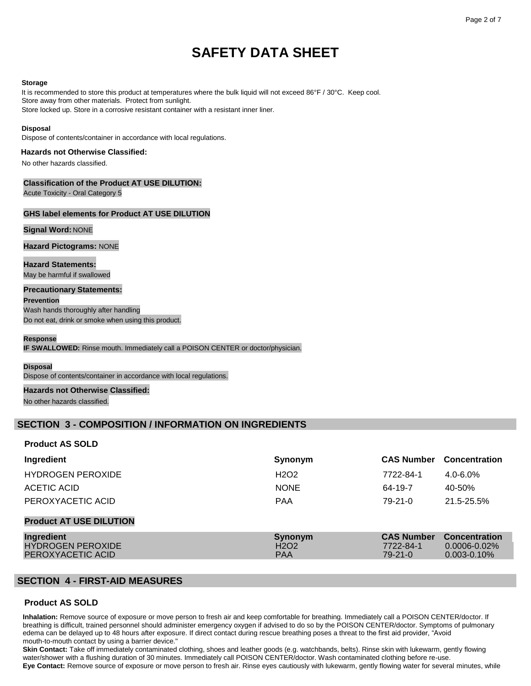#### **Storage**

It is recommended to store this product at temperatures where the bulk liquid will not exceed 86°F / 30°C. Keep cool. Store away from other materials. Protect from sunlight. Store locked up. Store in a corrosive resistant container with a resistant inner liner.

#### **Disposal**

Dispose of contents/container in accordance with local regulations.

### **Hazards not Otherwise Classified:**

No other hazards classified.

### **Classification of the Product AT USE DILUTION:**

Acute Toxicity - Oral Category 5

### **GHS label elements for Product AT USE DILUTION**

### **Signal Word:** NONE

**Hazard Pictograms:** NONE

**Hazard Statements:** May be harmful if swallowed

### **Precautionary Statements:**

**Prevention**

Wash hands thoroughly after handling Do not eat, drink or smoke when using this product.

### **Response**

**IF SWALLOWED:** Rinse mouth. Immediately call a POISON CENTER or doctor/physician.

#### **Disposal**

Dispose of contents/container in accordance with local regulations.

#### **Hazards not Otherwise Classified:**

No other hazards classified.

### **SECTION 3 - COMPOSITION / INFORMATION ON INGREDIENTS**

### **Product AS SOLD**

| Ingredient                                                  | Synonym                                                | <b>CAS Number</b>                               | <b>Concentration</b>                                          |
|-------------------------------------------------------------|--------------------------------------------------------|-------------------------------------------------|---------------------------------------------------------------|
| <b>HYDROGEN PEROXIDE</b>                                    | H <sub>2</sub> O <sub>2</sub>                          | 7722-84-1                                       | $4.0 - 6.0\%$                                                 |
| ACETIC ACID                                                 | <b>NONE</b>                                            | 64-19-7                                         | 40-50%                                                        |
| PEROXYACETIC ACID                                           | <b>PAA</b>                                             | $79-21-0$                                       | 21.5-25.5%                                                    |
| <b>Product AT USE DILUTION</b>                              |                                                        |                                                 |                                                               |
| Ingredient<br><b>HYDROGEN PEROXIDE</b><br>PEROXYACETIC ACID | Synonym<br>H <sub>2</sub> O <sub>2</sub><br><b>PAA</b> | <b>CAS Number</b><br>7722-84-1<br>$79 - 21 - 0$ | <b>Concentration</b><br>$0.0006 - 0.02\%$<br>$0.003 - 0.10\%$ |

### **SECTION 4 - FIRST-AID MEASURES**

### **Product AS SOLD**

**Inhalation:** Remove source of exposure or move person to fresh air and keep comfortable for breathing. Immediately call a POISON CENTER/doctor. If breathing is difficult, trained personnel should administer emergency oxygen if advised to do so by the POISON CENTER/doctor. Symptoms of pulmonary edema can be delayed up to 48 hours after exposure. If direct contact during rescue breathing poses a threat to the first aid provider, "Avoid mouth-to-mouth contact by using a barrier device."

**Skin Contact:** Take off immediately contaminated clothing, shoes and leather goods (e.g. watchbands, belts). Rinse skin with lukewarm, gently flowing water/shower with a flushing duration of 30 minutes. Immediately call POISON CENTER/doctor. Wash contaminated clothing before re-use. **Eye Contact:** Remove source of exposure or move person to fresh air. Rinse eyes cautiously with lukewarm, gently flowing water for several minutes, while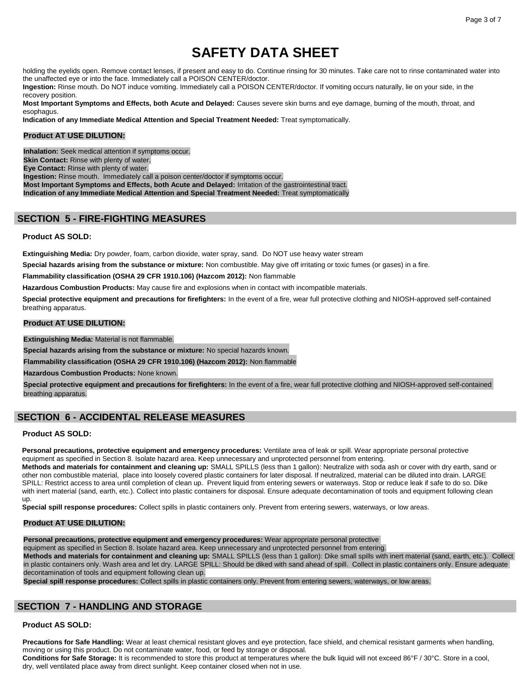holding the eyelids open. Remove contact lenses, if present and easy to do. Continue rinsing for 30 minutes. Take care not to rinse contaminated water into the unaffected eye or into the face. Immediately call a POISON CENTER/doctor.

**Ingestion:** Rinse mouth. Do NOT induce vomiting. Immediately call a POISON CENTER/doctor. If vomiting occurs naturally, lie on your side, in the recovery position.

**Most Important Symptoms and Effects, both Acute and Delayed:** Causes severe skin burns and eye damage, burning of the mouth, throat, and esophagus.

**Indication of any Immediate Medical Attention and Special Treatment Needed:** Treat symptomatically.

### **Product AT USE DILUTION:**

**Inhalation:** Seek medical attention if symptoms occur. **Skin Contact:** Rinse with plenty of water. **Eye Contact:** Rinse with plenty of water. **Ingestion:** Rinse mouth. Immediately call a poison center/doctor if symptoms occur. **Most Important Symptoms and Effects, both Acute and Delayed:** Irritation of the gastrointestinal tract. **Indication of any Immediate Medical Attention and Special Treatment Needed:** Treat symptomatically

### **SECTION 5 - FIRE-FIGHTING MEASURES**

### **Product AS SOLD:**

**Extinguishing Media:** Dry powder, foam, carbon dioxide, water spray, sand. Do NOT use heavy water stream

**Special hazards arising from the substance or mixture:** Non combustible. May give off irritating or toxic fumes (or gases) in a fire.

**Flammability classification (OSHA 29 CFR 1910.106) (Hazcom 2012):** Non flammable

**Hazardous Combustion Products:** May cause fire and explosions when in contact with incompatible materials.

**Special protective equipment and precautions for firefighters:** In the event of a fire, wear full protective clothing and NIOSH-approved self-contained breathing apparatus.

### **Product AT USE DILUTION:**

**Extinguishing Media:** Material is not flammable.

**Special hazards arising from the substance or mixture:** No special hazards known.

**Flammability classification (OSHA 29 CFR 1910.106) (Hazcom 2012):** Non flammable

**Hazardous Combustion Products:** None known.

**Special protective equipment and precautions for firefighters:** In the event of a fire, wear full protective clothing and NIOSH-approved self-contained breathing apparatus.

### **SECTION 6 - ACCIDENTAL RELEASE MEASURES**

### **Product AS SOLD:**

**Personal precautions, protective equipment and emergency procedures:** Ventilate area of leak or spill. Wear appropriate personal protective equipment as specified in Section 8. Isolate hazard area. Keep unnecessary and unprotected personnel from entering.

**Methods and materials for containment and cleaning up:** SMALL SPILLS (less than 1 gallon): Neutralize with soda ash or cover with dry earth, sand or other non combustible material, place into loosely covered plastic containers for later disposal. If neutralized, material can be diluted into drain. LARGE SPILL: Restrict access to area until completion of clean up. Prevent liquid from entering sewers or waterways. Stop or reduce leak if safe to do so. Dike with inert material (sand, earth, etc.). Collect into plastic containers for disposal. Ensure adequate decontamination of tools and equipment following clean up.

**Special spill response procedures:** Collect spills in plastic containers only. Prevent from entering sewers, waterways, or low areas.

### **Product AT USE DILUTION:**

**Personal precautions, protective equipment and emergency procedures:** Wear appropriate personal protective

equipment as specified in Section 8. Isolate hazard area. Keep unnecessary and unprotected personnel from entering.

**Methods and materials for containment and cleaning up:** SMALL SPILLS (less than 1 gallon): Dike small spills with inert material (sand, earth, etc.). Collect in plastic containers only. Wash area and let dry. LARGE SPILL: Should be diked with sand ahead of spill. Collect in plastic containers only. Ensure adequate decontamination of tools and equipment following clean up.

**Special spill response procedures:** Collect spills in plastic containers only. Prevent from entering sewers, waterways, or low areas.

## **SECTION 7 - HANDLING AND STORAGE**

### **Product AS SOLD:**

**Precautions for Safe Handling:** Wear at least chemical resistant gloves and eye protection, face shield, and chemical resistant garments when handling, moving or using this product. Do not contaminate water, food, or feed by storage or disposal.

**Conditions for Safe Storage:** It is recommended to store this product at temperatures where the bulk liquid will not exceed 86°F / 30°C. Store in a cool, dry, well ventilated place away from direct sunlight. Keep container closed when not in use.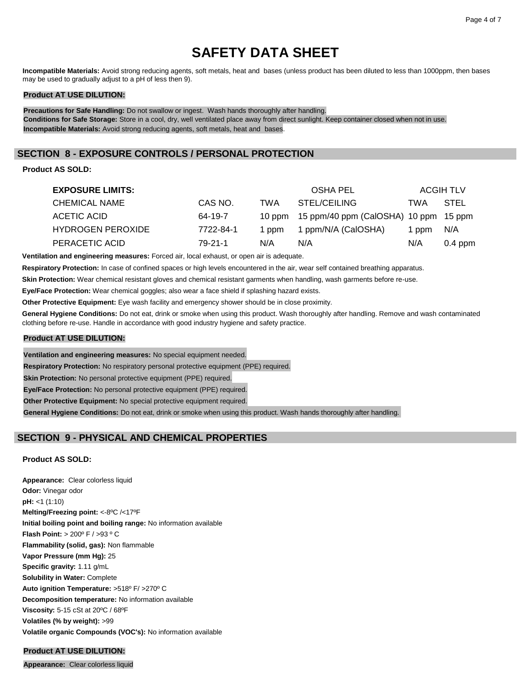**Incompatible Materials:** Avoid strong reducing agents, soft metals, heat and bases (unless product has been diluted to less than 1000ppm, then bases may be used to gradually adjust to a pH of less then 9).

### **Product AT USE DILUTION:**

**Precautions for Safe Handling:** Do not swallow or ingest. Wash hands thoroughly after handling. **Conditions for Safe Storage:** Store in a cool, dry, well ventilated place away from direct sunlight. Keep container closed when not in use. **Incompatible Materials:** Avoid strong reducing agents, soft metals, heat and bases.

### **SECTION 8 - EXPOSURE CONTROLS / PERSONAL PROTECTION**

### **Product AS SOLD:**

| <b>EXPOSURE LIMITS:</b>  |           |       | OSHA PEL                                     |       | <b>ACGIH TLV</b> |
|--------------------------|-----------|-------|----------------------------------------------|-------|------------------|
| <b>CHEMICAL NAME</b>     | CAS NO.   | TWA   | STEL/CEILING                                 | TWA   | STEL             |
| ACETIC ACID              | 64-19-7   |       | 10 ppm 15 ppm/40 ppm (CalOSHA) 10 ppm 15 ppm |       |                  |
| <b>HYDROGEN PEROXIDE</b> | 7722-84-1 | 1 ppm | 1 ppm/N/A (CalOSHA)                          | 1 ppm | N/A              |
| PERACETIC ACID           | 79-21-1   | N/A   | N/A                                          | N/A   | $0.4$ ppm        |

**Ventilation and engineering measures:** Forced air, local exhaust, or open air is adequate.

**Respiratory Protection:** In case of confined spaces or high levels encountered in the air, wear self contained breathing apparatus.

**Skin Protection:** Wear chemical resistant gloves and chemical resistant garments when handling, wash garments before re-use.

**Eye/Face Protection:** Wear chemical goggles; also wear a face shield if splashing hazard exists.

**Other Protective Equipment:** Eye wash facility and emergency shower should be in close proximity.

**General Hygiene Conditions:** Do not eat, drink or smoke when using this product. Wash thoroughly after handling. Remove and wash contaminated clothing before re-use. Handle in accordance with good industry hygiene and safety practice.

### **Product AT USE DILUTION:**

**Ventilation and engineering measures:** No special equipment needed.

**Respiratory Protection:** No respiratory personal protective equipment (PPE) required.

**Skin Protection:** No personal protective equipment (PPE) required.

**Eye/Face Protection:** No personal protective equipment (PPE) required.

**Other Protective Equipment:** No special protective equipment required.

**General Hygiene Conditions:** Do not eat, drink or smoke when using this product. Wash hands thoroughly after handling.

### **SECTION 9 - PHYSICAL AND CHEMICAL PROPERTIES**

### **Product AS SOLD:**

**Appearance:** Clear colorless liquid **Odor:** Vinegar odor **pH:** <1 (1:10) **Melting/Freezing point:** <-8ºC /<17ºF **Initial boiling point and boiling range:** No information available **Flash Point:** > 200º F / >93 º C **Flammability (solid, gas):** Non flammable **Vapor Pressure (mm Hg):** 25 **Specific gravity:** 1.11 g/mL **Solubility in Water:** Complete **Auto ignition Temperature:** >518º F/ >270º C **Decomposition temperature:** No information available **Viscosity:** 5-15 cSt at 20ºC / 68ºF **Volatiles (% by weight):** >99 **Volatile organic Compounds (VOC's):** No information available

### **Product AT USE DILUTION:**

**Appearance:** Clear colorless liquid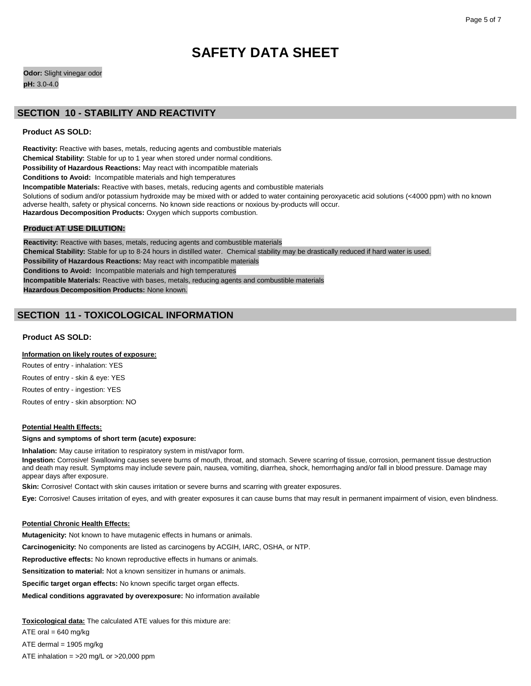**Odor:** Slight vinegar odor **pH:** 3.0-4.0

### **SECTION 10 - STABILITY AND REACTIVITY**

### **Product AS SOLD:**

**Reactivity:** Reactive with bases, metals, reducing agents and combustible materials **Chemical Stability:** Stable for up to 1 year when stored under normal conditions. **Possibility of Hazardous Reactions:** May react with incompatible materials **Conditions to Avoid:** Incompatible materials and high temperatures **Incompatible Materials:** Reactive with bases, metals, reducing agents and combustible materials Solutions of sodium and/or potassium hydroxide may be mixed with or added to water containing peroxyacetic acid solutions (<4000 ppm) with no known adverse health, safety or physical concerns. No known side reactions or noxious by-products will occur. **Hazardous Decomposition Products:** Oxygen which supports combustion.

### **Product AT USE DILUTION:**

**Reactivity:** Reactive with bases, metals, reducing agents and combustible materials **Chemical Stability:** Stable for up to 8-24 hours in distilled water. Chemical stability may be drastically reduced if hard water is used. **Possibility of Hazardous Reactions:** May react with incompatible materials **Conditions to Avoid:** Incompatible materials and high temperatures **Incompatible Materials:** Reactive with bases, metals, reducing agents and combustible materials **Hazardous Decomposition Products:** None known.

### **SECTION 11 - TOXICOLOGICAL INFORMATION**

### **Product AS SOLD:**

### **Information on likely routes of exposure:**

Routes of entry - inhalation: YES Routes of entry - skin & eye: YES Routes of entry - ingestion: YES

Routes of entry - skin absorption: NO

### **Potential Health Effects:**

#### **Signs and symptoms of short term (acute) exposure:**

**Inhalation:** May cause irritation to respiratory system in mist/vapor form.

**Ingestion:** Corrosive! Swallowing causes severe burns of mouth, throat, and stomach. Severe scarring of tissue, corrosion, permanent tissue destruction and death may result. Symptoms may include severe pain, nausea, vomiting, diarrhea, shock, hemorrhaging and/or fall in blood pressure. Damage may appear days after exposure.

**Skin:** Corrosive! Contact with skin causes irritation or severe burns and scarring with greater exposures.

**Eye:** Corrosive! Causes irritation of eyes, and with greater exposures it can cause burns that may result in permanent impairment of vision, even blindness.

#### **Potential Chronic Health Effects:**

**Mutagenicity:** Not known to have mutagenic effects in humans or animals.

**Carcinogenicity:** No components are listed as carcinogens by ACGIH, IARC, OSHA, or NTP.

**Reproductive effects:** No known reproductive effects in humans or animals.

**Sensitization to material:** Not a known sensitizer in humans or animals.

**Specific target organ effects:** No known specific target organ effects.

**Medical conditions aggravated by overexposure:** No information available

**Toxicological data:** The calculated ATE values for this mixture are:

ATE oral =  $640$  mg/kg

ATE dermal = 1905 mg/kg

ATE inhalation =  $>20$  mg/L or  $>20,000$  ppm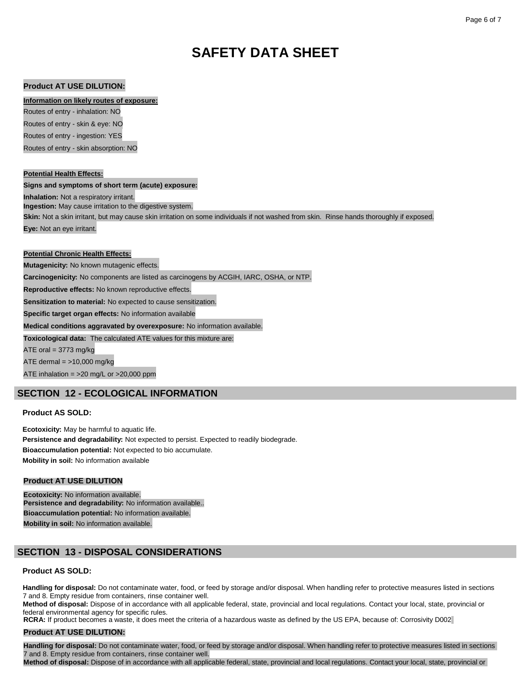### **Product AT USE DILUTION:**

#### **Information on likely routes of exposure:**

Routes of entry - inhalation: NO Routes of entry - skin & eye: NO

Routes of entry - ingestion: YES

Routes of entry - skin absorption: NO

### **Potential Health Effects:**

**Signs and symptoms of short term (acute) exposure:**

**Inhalation:** Not a respiratory irritant. **Ingestion:** May cause irritation to the digestive system.

**Skin:** Not a skin irritant, but may cause skin irritation on some individuals if not washed from skin. Rinse hands thoroughly if exposed. **Eye:** Not an eye irritant.

### **Potential Chronic Health Effects:**

**Mutagenicity:** No known mutagenic effects.

**Carcinogenicity:** No components are listed as carcinogens by ACGIH, IARC, OSHA, or NTP.

**Reproductive effects:** No known reproductive effects.

**Sensitization to material:** No expected to cause sensitization.

**Specific target organ effects:** No information available

**Medical conditions aggravated by overexposure:** No information available.

**Toxicological data:** The calculated ATE values for this mixture are:

ATE oral =  $3773$  mg/kg

ATE dermal  $=$  >10,000 mg/kg

ATE inhalation = >20 mg/L or >20,000 ppm

### **SECTION 12 - ECOLOGICAL INFORMATION**

### **Product AS SOLD:**

**Ecotoxicity:** May be harmful to aquatic life. **Persistence and degradability:** Not expected to persist. Expected to readily biodegrade. **Bioaccumulation potential:** Not expected to bio accumulate. **Mobility in soil:** No information available

### **Product AT USE DILUTION**

**Ecotoxicity:** No information available. **Persistence and degradability:** No information available.. **Bioaccumulation potential:** No information available. **Mobility in soil:** No information available.

### **SECTION 13 - DISPOSAL CONSIDERATIONS**

### **Product AS SOLD:**

Handling for disposal: Do not contaminate water, food, or feed by storage and/or disposal. When handling refer to protective measures listed in sections 7 and 8. Empty residue from containers, rinse container well.

**Method of disposal:** Dispose of in accordance with all applicable federal, state, provincial and local regulations. Contact your local, state, provincial or federal environmental agency for specific rules.

**RCRA:** If product becomes a waste, it does meet the criteria of a hazardous waste as defined by the US EPA, because of: Corrosivity D002

### **Product AT USE DILUTION:**

**Handling for disposal:** Do not contaminate water, food, or feed by storage and/or disposal. When handling refer to protective measures listed in sections 7 and 8. Empty residue from containers, rinse container well.

**Method of disposal:** Dispose of in accordance with all applicable federal, state, provincial and local regulations. Contact your local, state, provincial or